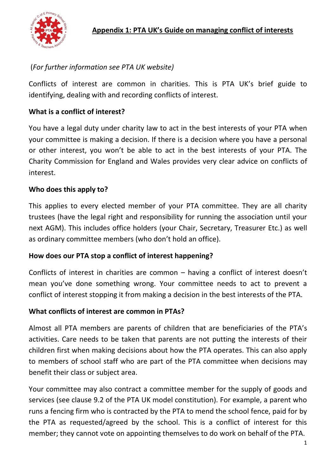

# (*For further information see PTA UK website)*

Conflicts of interest are common in charities. This is PTA UK's brief guide to identifying, dealing with and recording conflicts of interest.

## **What is a conflict of interest?**

You have a legal duty under charity law to act in the best interests of your PTA when your committee is making a decision. If there is a decision where you have a personal or other interest, you won't be able to act in the best interests of your PTA. The Charity Commission for England and Wales provides very clear advice on conflicts of interest.

### **Who does this apply to?**

This applies to every elected member of your PTA committee. They are all charity trustees (have the legal right and responsibility for running the association until your next AGM). This includes office holders (your Chair, Secretary, Treasurer Etc.) as well as ordinary committee members (who don't hold an office).

### **How does our PTA stop a conflict of interest happening?**

Conflicts of interest in charities are common – having a conflict of interest doesn't mean you've done something wrong. Your committee needs to act to prevent a conflict of interest stopping it from making a decision in the best interests of the PTA.

### **What conflicts of interest are common in PTAs?**

Almost all PTA members are parents of children that are beneficiaries of the PTA's activities. Care needs to be taken that parents are not putting the interests of their children first when making decisions about how the PTA operates. This can also apply to members of school staff who are part of the PTA committee when decisions may benefit their class or subject area.

Your committee may also contract a committee member for the supply of goods and services (see clause 9.2 of the PTA UK model constitution). For example, a parent who runs a fencing firm who is contracted by the PTA to mend the school fence, paid for by the PTA as requested/agreed by the school. This is a conflict of interest for this member; they cannot vote on appointing themselves to do work on behalf of the PTA.